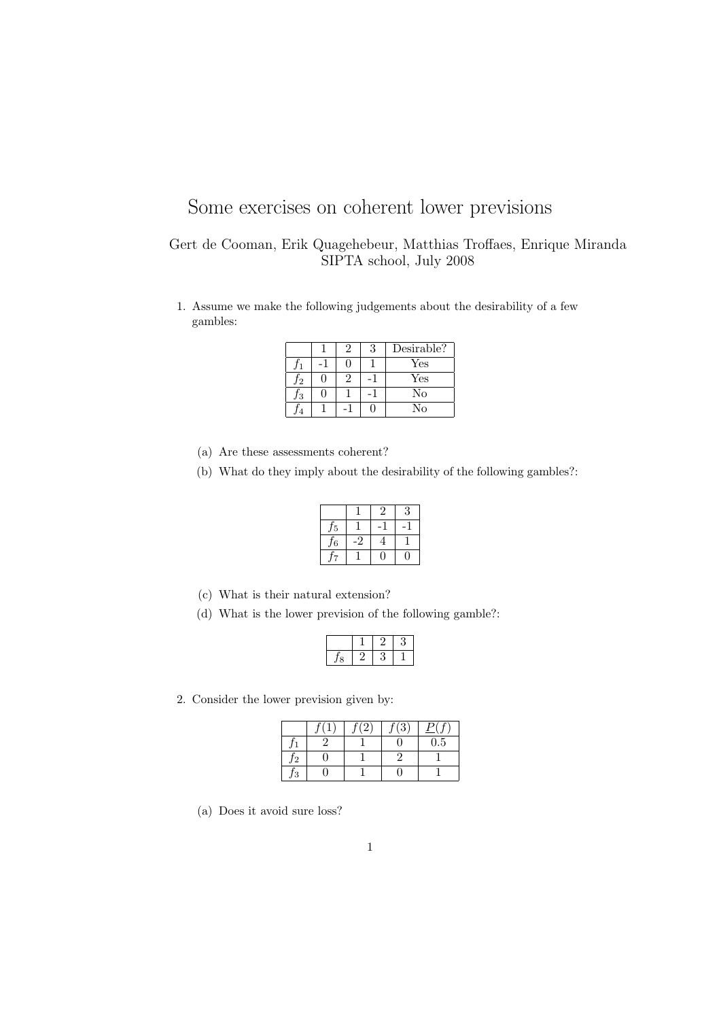## Some exercises on coherent lower previsions

## Gert de Cooman, Erik Quagehebeur, Matthias Troffaes, Enrique Miranda SIPTA school, July 2008

1. Assume we make the following judgements about the desirability of a few gambles:

|               |  | Desirable?   |
|---------------|--|--------------|
|               |  | $_{\rm Yes}$ |
| $\mathcal{D}$ |  | Yes          |
| Ι3            |  | No           |
|               |  | Nο           |

- (a) Are these assessments coherent?
- (b) What do they imply about the desirability of the following gambles?:

| н |  |  |
|---|--|--|
| 6 |  |  |
|   |  |  |

- (c) What is their natural extension?
- (d) What is the lower prevision of the following gamble?:

2. Consider the lower prevision given by:

|    |  | 0.5 |
|----|--|-----|
| J2 |  |     |
| 3  |  |     |

(a) Does it avoid sure loss?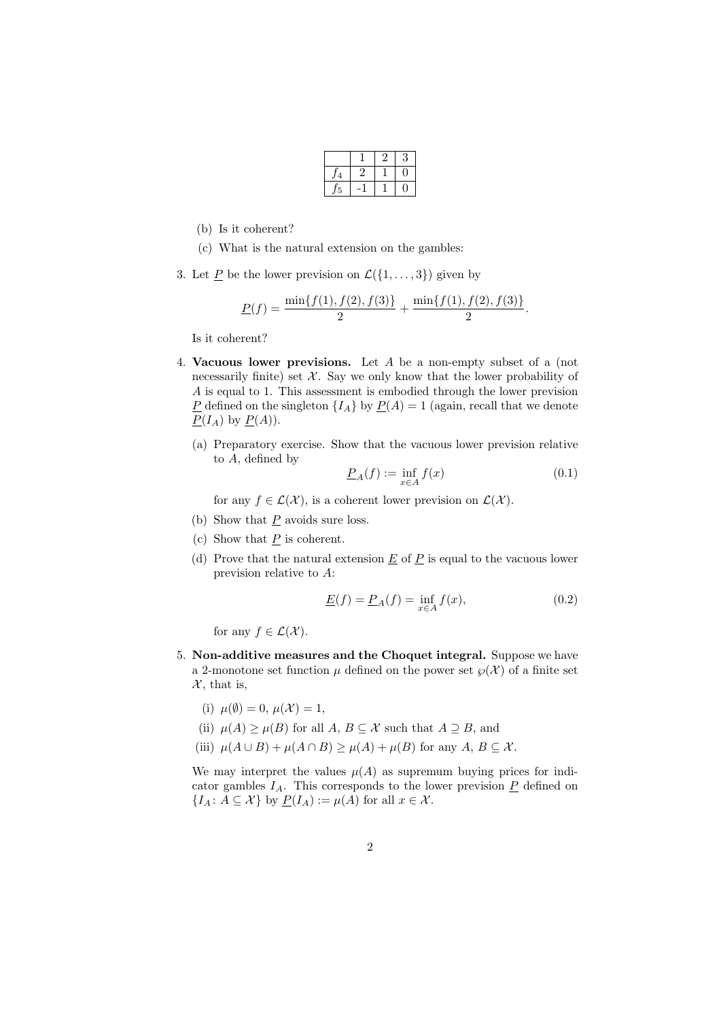|   | ∠ | 3 |
|---|---|---|
| ∠ |   |   |
|   |   |   |

- (b) Is it coherent?
- (c) What is the natural extension on the gambles:
- 3. Let  $\underline{P}$  be the lower prevision on  $\mathcal{L}(\{1,\ldots,3\})$  given by

$$
\underline{P}(f) = \frac{\min\{f(1), f(2), f(3)\}}{2} + \frac{\min\{f(1), f(2), f(3)\}}{2}.
$$

Is it coherent?

- 4. Vacuous lower previsions. Let A be a non-empty subset of a (not necessarily finite) set  $\mathcal{X}$ . Say we only know that the lower probability of A is equal to 1. This assessment is embodied through the lower prevision P defined on the singleton  $\{I_A\}$  by  $P(A) = 1$  (again, recall that we denote  $P(I_A)$  by  $P(A)$ ).
	- (a) Preparatory exercise. Show that the vacuous lower prevision relative to A, defined by

$$
\underline{P}_A(f) := \inf_{x \in A} f(x) \tag{0.1}
$$

for any  $f \in \mathcal{L}(\mathcal{X})$ , is a coherent lower prevision on  $\mathcal{L}(\mathcal{X})$ .

- (b) Show that  $P$  avoids sure loss.
- (c) Show that  $P$  is coherent.
- (d) Prove that the natural extension  $\underline{E}$  of  $\underline{P}$  is equal to the vacuous lower prevision relative to A:

$$
\underline{E}(f) = \underline{P}_A(f) = \inf_{x \in A} f(x),\tag{0.2}
$$

for any  $f \in \mathcal{L}(\mathcal{X})$ .

- 5. Non-additive measures and the Choquet integral. Suppose we have a 2-monotone set function  $\mu$  defined on the power set  $\wp(\mathcal{X})$  of a finite set  $\mathcal{X}$ , that is,
	- (i)  $\mu(\emptyset) = 0, \mu(\mathcal{X}) = 1,$
	- (ii)  $\mu(A) \ge \mu(B)$  for all  $A, B \subseteq \mathcal{X}$  such that  $A \supseteq B$ , and
	- (iii)  $\mu(A \cup B) + \mu(A \cap B) \ge \mu(A) + \mu(B)$  for any  $A, B \subseteq \mathcal{X}$ .

We may interpret the values  $\mu(A)$  as supremum buying prices for indicator gambles  $I_A$ . This corresponds to the lower prevision  $\underline{P}$  defined on  ${I_A : A \subseteq \mathcal{X} \}$  by  $P(I_A) := \mu(A)$  for all  $x \in \mathcal{X}$ .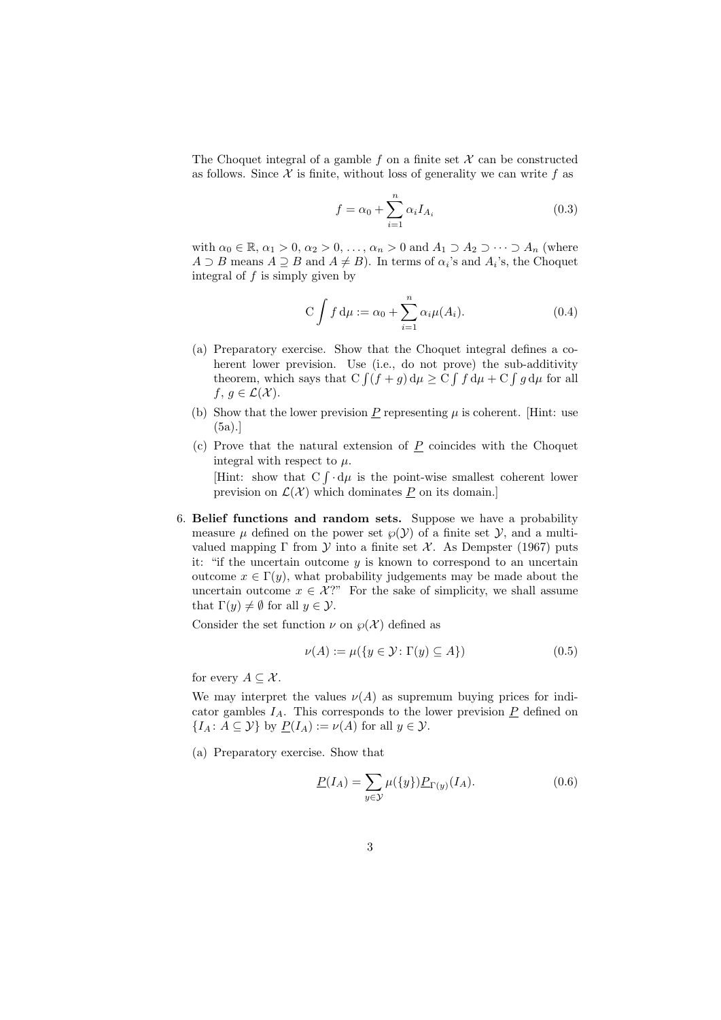The Choquet integral of a gamble f on a finite set  $\mathcal X$  can be constructed as follows. Since  $\mathcal X$  is finite, without loss of generality we can write f as

$$
f = \alpha_0 + \sum_{i=1}^{n} \alpha_i I_{A_i}
$$
\n(0.3)

with  $\alpha_0 \in \mathbb{R}, \alpha_1 > 0, \alpha_2 > 0, \ldots, \alpha_n > 0$  and  $A_1 \supset A_2 \supset \cdots \supset A_n$  (where  $A \supset B$  means  $A \supseteq B$  and  $A \neq B$ ). In terms of  $\alpha_i$ 's and  $A_i$ 's, the Choquet integral of  $f$  is simply given by

$$
C \int f d\mu := \alpha_0 + \sum_{i=1}^{n} \alpha_i \mu(A_i). \tag{0.4}
$$

- (a) Preparatory exercise. Show that the Choquet integral defines a coherent lower prevision. Use (i.e., do not prove) the sub-additivity theorem, which says that  $C \int (f+g) d\mu \geq C \int f d\mu + C \int g d\mu$  for all  $f, g \in \mathcal{L}(\mathcal{X})$ .
- (b) Show that the lower prevision  $\underline{P}$  representing  $\mu$  is coherent. [Hint: use (5a).]
- $(c)$  Prove that the natural extension of P coincides with the Choquet integral with respect to  $\mu$ .

[Hint: show that  $C \int d\mu$  is the point-wise smallest coherent lower prevision on  $\mathcal{L}(\mathcal{X})$  which dominates P on its domain.]

6. Belief functions and random sets. Suppose we have a probability measure  $\mu$  defined on the power set  $\wp(\mathcal{Y})$  of a finite set  $\mathcal{Y}$ , and a multivalued mapping  $\Gamma$  from  $\mathcal Y$  into a finite set  $\mathcal X$ . As Dempster (1967) puts it: "if the uncertain outcome  $y$  is known to correspond to an uncertain outcome  $x \in \Gamma(y)$ , what probability judgements may be made about the uncertain outcome  $x \in \mathcal{X}$ ?" For the sake of simplicity, we shall assume that  $\Gamma(y) \neq \emptyset$  for all  $y \in \mathcal{Y}$ .

Consider the set function  $\nu$  on  $\wp(\mathcal{X})$  defined as

$$
\nu(A) := \mu(\{y \in \mathcal{Y} \colon \Gamma(y) \subseteq A\})\tag{0.5}
$$

for every  $A \subseteq \mathcal{X}$ .

We may interpret the values  $\nu(A)$  as supremum buying prices for indicator gambles  $I_A$ . This corresponds to the lower prevision  $P$  defined on  $\{I_A: A \subseteq \mathcal{Y}\}\$ by  $\underline{P}(I_A) := \nu(A)$  for all  $y \in \mathcal{Y}$ .

(a) Preparatory exercise. Show that

$$
\underline{P}(I_A) = \sum_{y \in \mathcal{Y}} \mu(\{y\}) \underline{P}_{\Gamma(y)}(I_A). \tag{0.6}
$$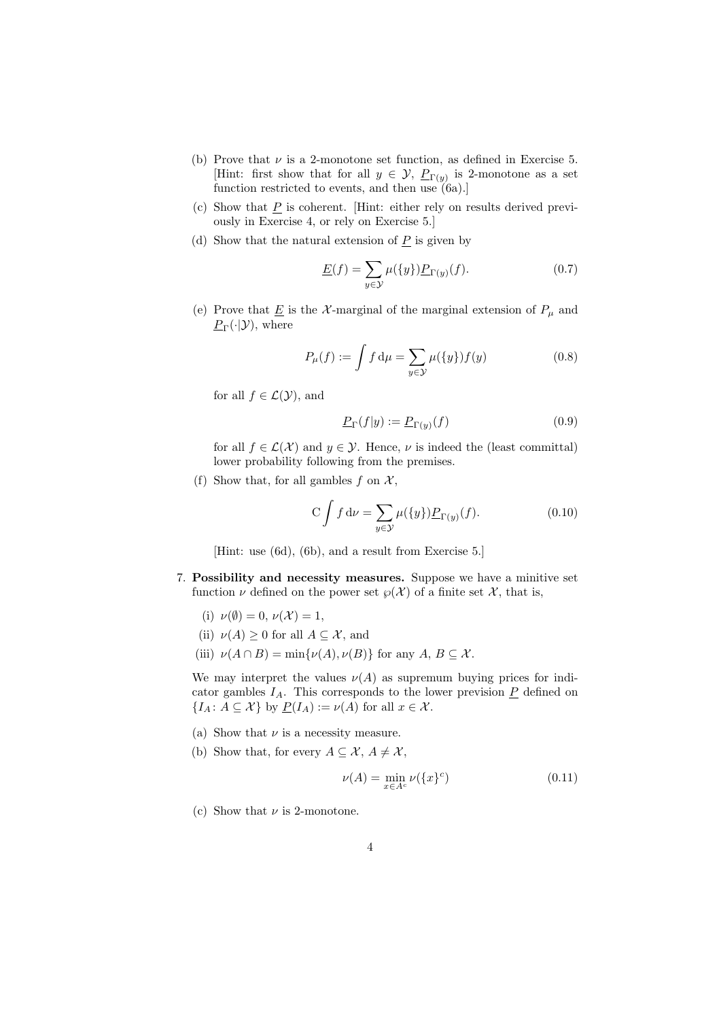- (b) Prove that  $\nu$  is a 2-monotone set function, as defined in Exercise 5. [Hint: first show that for all  $y \in \mathcal{Y}$ ,  $\underline{P}_{\Gamma(y)}$  is 2-monotone as a set function restricted to events, and then use  $(6a)$ .]
- (c) Show that  $\underline{P}$  is coherent. [Hint: either rely on results derived previously in Exercise 4, or rely on Exercise 5.]
- (d) Show that the natural extension of  $P$  is given by

$$
\underline{E}(f) = \sum_{y \in \mathcal{Y}} \mu(\{y\}) \underline{P}_{\Gamma(y)}(f). \tag{0.7}
$$

(e) Prove that  $\underline{E}$  is the  $\mathcal X$ -marginal of the marginal extension of  $P_\mu$  and  $\underline{P}_{\Gamma}(\cdot|\mathcal{Y}),$  where

$$
P_{\mu}(f) := \int f d\mu = \sum_{y \in \mathcal{Y}} \mu(\{y\}) f(y) \tag{0.8}
$$

for all  $f \in \mathcal{L}(\mathcal{Y})$ , and

$$
\underline{P}_{\Gamma}(f|y) := \underline{P}_{\Gamma(y)}(f) \tag{0.9}
$$

for all  $f \in \mathcal{L}(\mathcal{X})$  and  $y \in \mathcal{Y}$ . Hence,  $\nu$  is indeed the (least committal) lower probability following from the premises.

(f) Show that, for all gambles f on  $\mathcal{X}$ ,

$$
C \int f d\nu = \sum_{y \in \mathcal{Y}} \mu(\{y\}) \underline{P}_{\Gamma(y)}(f). \tag{0.10}
$$

[Hint: use (6d), (6b), and a result from Exercise 5.]

- 7. Possibility and necessity measures. Suppose we have a minitive set function  $\nu$  defined on the power set  $\wp(\mathcal{X})$  of a finite set  $\mathcal{X}$ , that is,
	- (i)  $\nu(\emptyset) = 0, \nu(\mathcal{X}) = 1,$
	- (ii)  $\nu(A) \geq 0$  for all  $A \subseteq \mathcal{X}$ , and
	- (iii)  $\nu(A \cap B) = \min{\nu(A), \nu(B)}$  for any  $A, B \subseteq \mathcal{X}$ .

We may interpret the values  $\nu(A)$  as supremum buying prices for indicator gambles  $I_A$ . This corresponds to the lower prevision  $\underline{P}$  defined on  ${I_A : A \subseteq \mathcal{X} \text{ by } \underline{P}(I_A) := \nu(A) \text{ for all } x \in \mathcal{X}.$ 

- (a) Show that  $\nu$  is a necessity measure.
- (b) Show that, for every  $A \subseteq \mathcal{X}, A \neq \mathcal{X},$

$$
\nu(A) = \min_{x \in A^c} \nu(\{x\}^c) \tag{0.11}
$$

(c) Show that  $\nu$  is 2-monotone.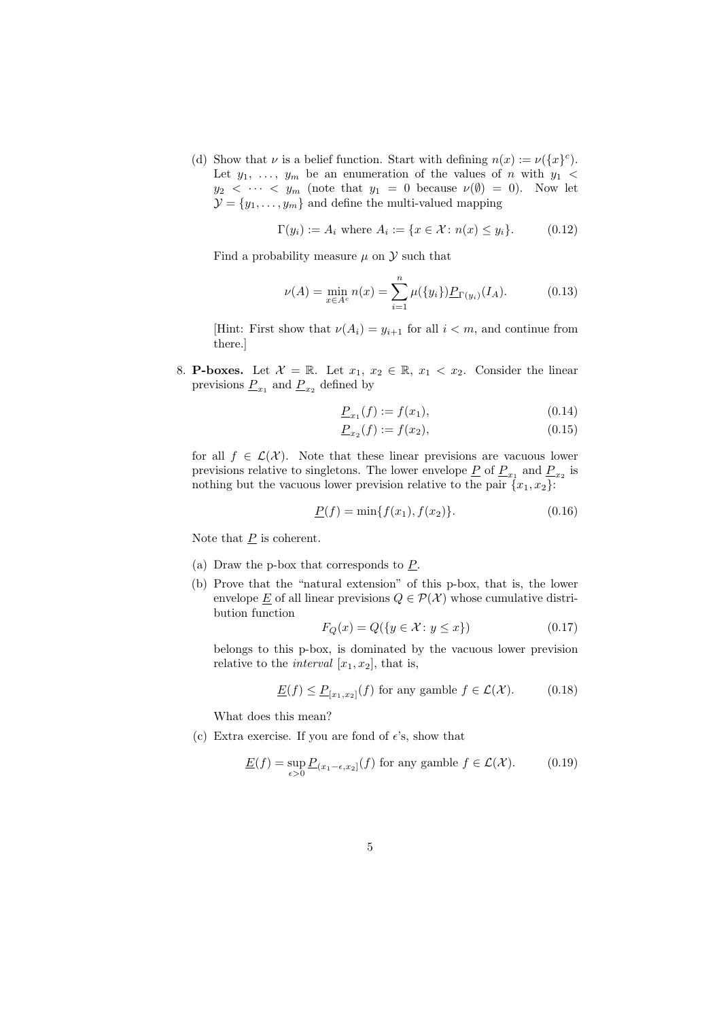(d) Show that  $\nu$  is a belief function. Start with defining  $n(x) := \nu({x}^c)$ . Let  $y_1, \ldots, y_m$  be an enumeration of the values of n with  $y_1$  <  $y_2 < \cdots < y_m$  (note that  $y_1 = 0$  because  $\nu(\emptyset) = 0$ ). Now let  $\mathcal{Y} = \{y_1, \ldots, y_m\}$  and define the multi-valued mapping

$$
\Gamma(y_i) := A_i \text{ where } A_i := \{ x \in \mathcal{X} \colon n(x) \le y_i \}. \tag{0.12}
$$

Find a probability measure  $\mu$  on  $\mathcal Y$  such that

$$
\nu(A) = \min_{x \in A^c} n(x) = \sum_{i=1}^n \mu(\{y_i\}) \underline{P}_{\Gamma(y_i)}(I_A). \tag{0.13}
$$

[Hint: First show that  $\nu(A_i) = y_{i+1}$  for all  $i < m$ , and continue from there.]

8. **P-boxes.** Let  $\mathcal{X} = \mathbb{R}$ . Let  $x_1, x_2 \in \mathbb{R}$ ,  $x_1 < x_2$ . Consider the linear previsions  $\underline{P}_{x_1}$  and  $\underline{P}_{x_2}$  defined by

$$
\underline{P}_{x_1}(f) := f(x_1),\tag{0.14}
$$

$$
\underline{P}_{x_2}(f) := f(x_2),\tag{0.15}
$$

for all  $f \in \mathcal{L}(\mathcal{X})$ . Note that these linear previsions are vacuous lower previsions relative to singletons. The lower envelope  $\underline{P}$  of  $\underline{P}_{x_1}$  and  $\underline{P}_{x_2}$  is nothing but the vacuous lower prevision relative to the pair  $\{x_1, x_2\}$ .

$$
\underline{P}(f) = \min\{f(x_1), f(x_2)\}.
$$
\n(0.16)

Note that  $\underline{P}$  is coherent.

- (a) Draw the p-box that corresponds to P.
- (b) Prove that the "natural extension" of this p-box, that is, the lower envelope  $\underline{E}$  of all linear previsions  $Q \in \mathcal{P}(\mathcal{X})$  whose cumulative distribution function

$$
F_Q(x) = Q(\{y \in \mathcal{X} : y \le x\})\tag{0.17}
$$

belongs to this p-box, is dominated by the vacuous lower prevision relative to the *interval*  $[x_1, x_2]$ , that is,

$$
\underline{E}(f) \le \underline{P}_{[x_1, x_2]}(f) \text{ for any gamble } f \in \mathcal{L}(\mathcal{X}).\tag{0.18}
$$

What does this mean?

(c) Extra exercise. If you are fond of  $\epsilon$ 's, show that

$$
\underline{E}(f) = \sup_{\epsilon > 0} \underline{P}_{(x_1 - \epsilon, x_2]}(f) \text{ for any gamble } f \in \mathcal{L}(\mathcal{X}).\tag{0.19}
$$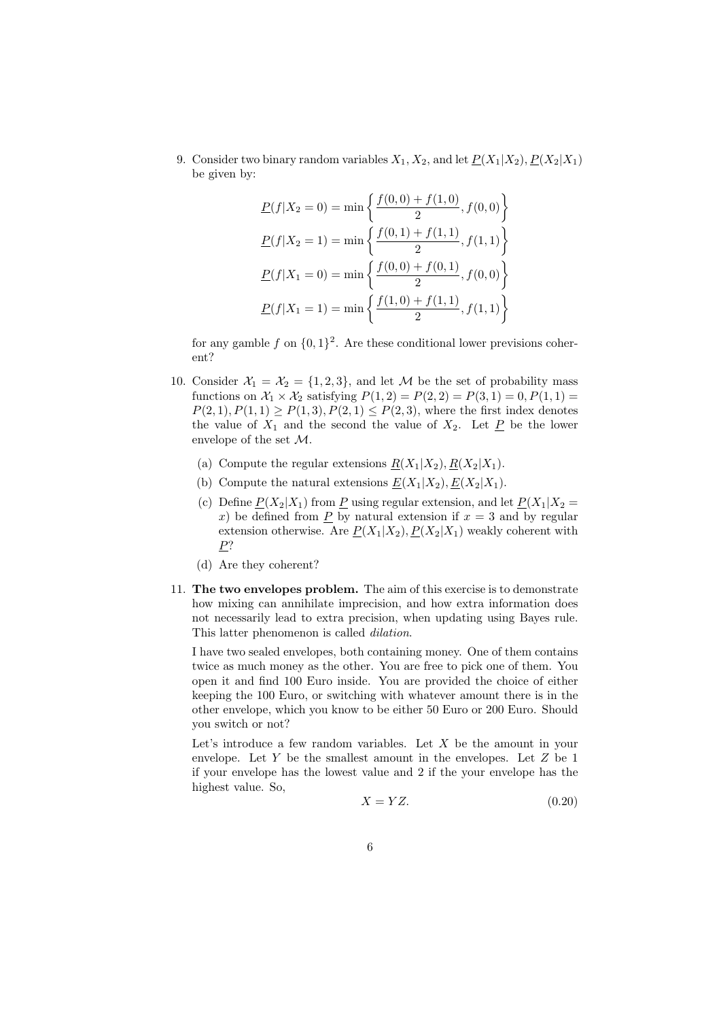9. Consider two binary random variables  $X_1, X_2$ , and let  $\underline{P}(X_1|X_2), \underline{P}(X_2|X_1)$ be given by:

$$
\underline{P}(f|X_2 = 0) = \min\left\{\frac{f(0,0) + f(1,0)}{2}, f(0,0)\right\}
$$

$$
\underline{P}(f|X_2 = 1) = \min\left\{\frac{f(0,1) + f(1,1)}{2}, f(1,1)\right\}
$$

$$
\underline{P}(f|X_1 = 0) = \min\left\{\frac{f(0,0) + f(0,1)}{2}, f(0,0)\right\}
$$

$$
\underline{P}(f|X_1 = 1) = \min\left\{\frac{f(1,0) + f(1,1)}{2}, f(1,1)\right\}
$$

for any gamble f on  $\{0,1\}^2$ . Are these conditional lower previsions coherent?

- 10. Consider  $\mathcal{X}_1 = \mathcal{X}_2 = \{1, 2, 3\}$ , and let M be the set of probability mass functions on  $\mathcal{X}_1 \times \mathcal{X}_2$  satisfying  $P(1, 2) = P(2, 2) = P(3, 1) = 0, P(1, 1) =$  $P(2, 1), P(1, 1) \ge P(1, 3), P(2, 1) \le P(2, 3)$ , where the first index denotes the value of  $X_1$  and the second the value of  $X_2$ . Let  $\underline{P}$  be the lower envelope of the set M.
	- (a) Compute the regular extensions  $R(X_1|X_2), R(X_2|X_1)$ .
	- (b) Compute the natural extensions  $\underline{E}(X_1|X_2), \underline{E}(X_2|X_1)$ .
	- (c) Define  $P(X_2|X_1)$  from P using regular extension, and let  $P(X_1|X_2 =$ x) be defined from P by natural extension if  $x = 3$  and by regular extension otherwise. Are  $\underline{P}(X_1|X_2), \underline{P}(X_2|X_1)$  weakly coherent with  $P$ ?
	- (d) Are they coherent?
- 11. The two envelopes problem. The aim of this exercise is to demonstrate how mixing can annihilate imprecision, and how extra information does not necessarily lead to extra precision, when updating using Bayes rule. This latter phenomenon is called *dilation*.

I have two sealed envelopes, both containing money. One of them contains twice as much money as the other. You are free to pick one of them. You open it and find 100 Euro inside. You are provided the choice of either keeping the 100 Euro, or switching with whatever amount there is in the other envelope, which you know to be either 50 Euro or 200 Euro. Should you switch or not?

Let's introduce a few random variables. Let  $X$  be the amount in your envelope. Let Y be the smallest amount in the envelopes. Let Z be 1 if your envelope has the lowest value and 2 if the your envelope has the highest value. So,

$$
X = YZ.\t\t(0.20)
$$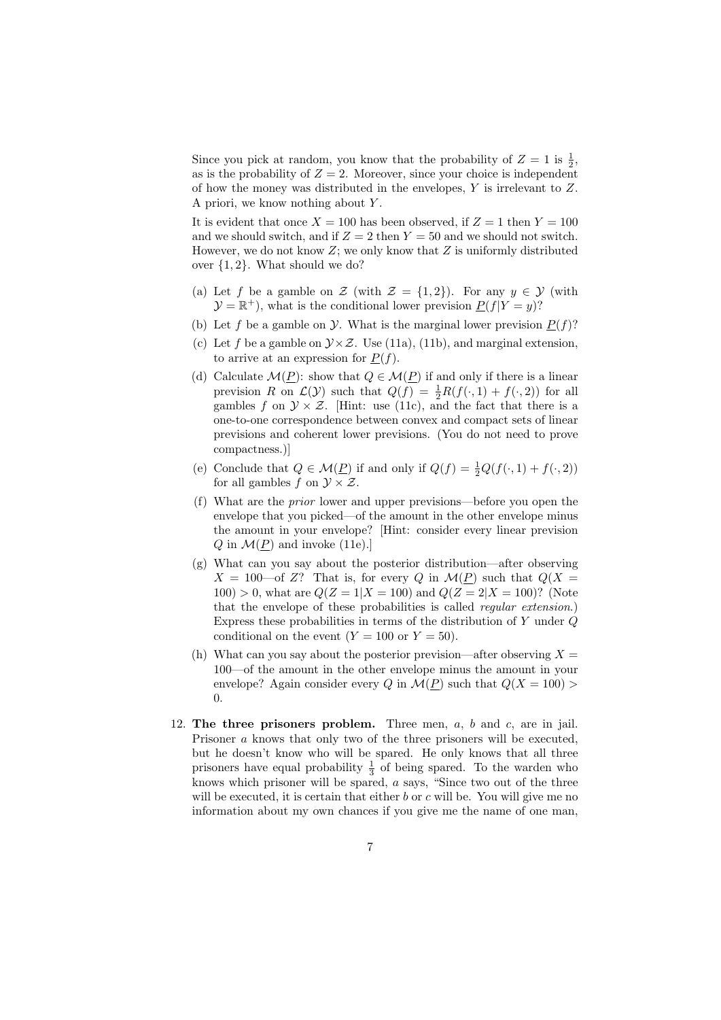Since you pick at random, you know that the probability of  $Z = 1$  is  $\frac{1}{2}$ , as is the probability of  $Z = 2$ . Moreover, since your choice is independent of how the money was distributed in the envelopes, Y is irrelevant to Z. A priori, we know nothing about Y .

It is evident that once  $X = 100$  has been observed, if  $Z = 1$  then  $Y = 100$ and we should switch, and if  $Z = 2$  then  $Y = 50$  and we should not switch. However, we do not know  $Z$ ; we only know that  $Z$  is uniformly distributed over {1, 2}. What should we do?

- (a) Let f be a gamble on  $\mathcal{Z}$  (with  $\mathcal{Z} = \{1,2\}$ ). For any  $y \in \mathcal{Y}$  (with  $\mathcal{Y} = \mathbb{R}^+$ , what is the conditional lower prevision  $\underline{P}(f|Y=y)$ ?
- (b) Let f be a gamble on  $\mathcal Y$ . What is the marginal lower prevision  $P(f)$ ?
- (c) Let f be a gamble on  $\mathcal{Y} \times \mathcal{Z}$ . Use (11a), (11b), and marginal extension. to arrive at an expression for  $P(f)$ .
- (d) Calculate  $\mathcal{M}(P)$ : show that  $Q \in \mathcal{M}(P)$  if and only if there is a linear prevision R on  $\mathcal{L}(\mathcal{Y})$  such that  $Q(f) = \frac{1}{2}R(f(\cdot, 1) + f(\cdot, 2))$  for all gambles f on  $\mathcal{Y} \times \mathcal{Z}$ . [Hint: use (11c), and the fact that there is a one-to-one correspondence between convex and compact sets of linear previsions and coherent lower previsions. (You do not need to prove compactness.)]
- (e) Conclude that  $Q \in \mathcal{M}(\underline{P})$  if and only if  $Q(f) = \frac{1}{2}Q(f(\cdot, 1) + f(\cdot, 2))$ for all gambles f on  $\mathcal{Y} \times \mathcal{Z}$ .
- (f) What are the prior lower and upper previsions—before you open the envelope that you picked—of the amount in the other envelope minus the amount in your envelope? [Hint: consider every linear prevision  $Q$  in  $\mathcal{M}(P)$  and invoke (11e).
- (g) What can you say about the posterior distribution—after observing  $X = 100$ —of Z? That is, for every Q in  $\mathcal{M}(\underline{P})$  such that  $Q(X =$  $100$ ) > 0, what are  $Q(Z = 1|X = 100)$  and  $Q(Z = 2|X = 100)$ ? (Note that the envelope of these probabilities is called regular extension.) Express these probabilities in terms of the distribution of Y under Q conditional on the event  $(Y = 100 \text{ or } Y = 50)$ .
- (h) What can you say about the posterior prevision—after observing  $X =$ 100—of the amount in the other envelope minus the amount in your envelope? Again consider every Q in  $\mathcal{M}(P)$  such that  $\mathcal{Q}(X = 100)$ 0.
- 12. The three prisoners problem. Three men,  $a, b$  and  $c$ , are in jail. Prisoner a knows that only two of the three prisoners will be executed, but he doesn't know who will be spared. He only knows that all three prisoners have equal probability  $\frac{1}{3}$  of being spared. To the warden who knows which prisoner will be spared, a says, "Since two out of the three will be executed, it is certain that either  $b$  or  $c$  will be. You will give me no information about my own chances if you give me the name of one man,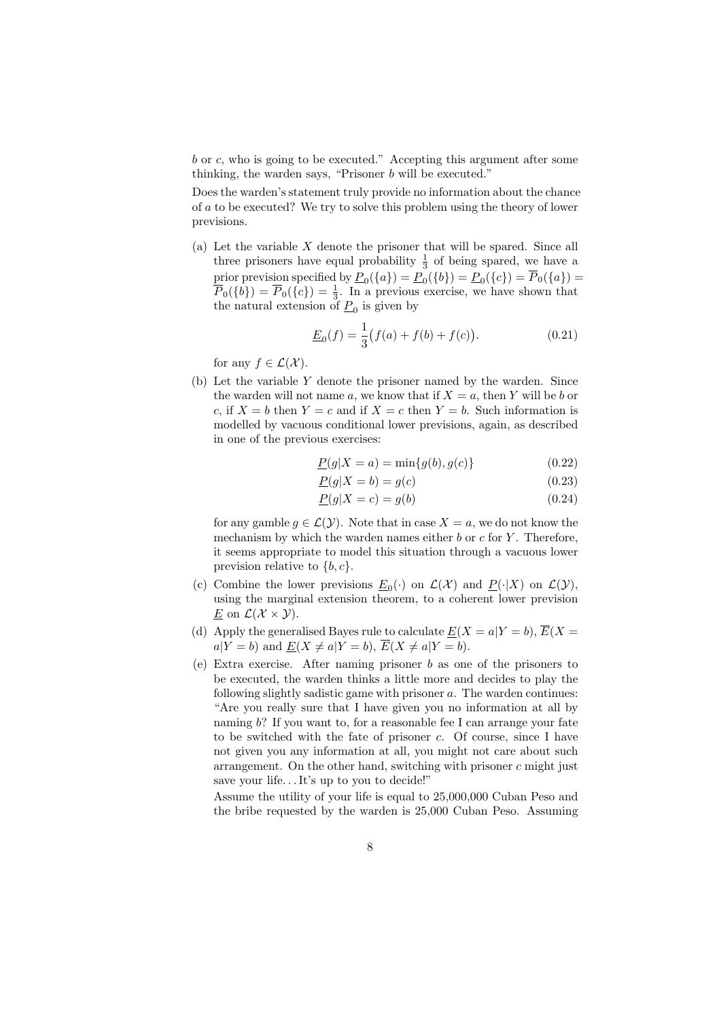b or c, who is going to be executed." Accepting this argument after some thinking, the warden says, "Prisoner b will be executed."

Does the warden's statement truly provide no information about the chance of a to be executed? We try to solve this problem using the theory of lower previsions.

(a) Let the variable X denote the prisoner that will be spared. Since all three prisoners have equal probability  $\frac{1}{3}$  of being spared, we have a prior prevision specified by  $\underline{P}_0({a}) = \underline{P}_0({b}) = \underline{P}_0({c}) = \overline{P}_0({a}) =$  $\overline{P}_0({b}) = \overline{P}_0({c}) = \frac{1}{3}$ . In a previous exercise, we have shown that the natural extension of  $\underline{P}_0$  is given by

$$
\underline{E}_0(f) = \frac{1}{3} \big( f(a) + f(b) + f(c) \big). \tag{0.21}
$$

for any  $f \in \mathcal{L}(\mathcal{X})$ .

(b) Let the variable Y denote the prisoner named by the warden. Since the warden will not name a, we know that if  $X = a$ , then Y will be b or c, if  $X = b$  then  $Y = c$  and if  $X = c$  then  $Y = b$ . Such information is modelled by vacuous conditional lower previsions, again, as described in one of the previous exercises:

$$
\underline{P}(g|X=a) = \min\{g(b), g(c)\}\tag{0.22}
$$

$$
\underline{P}(g|X=b) = g(c) \tag{0.23}
$$

$$
\underline{P}(g|X=c) = g(b) \tag{0.24}
$$

for any gamble  $g \in \mathcal{L}(\mathcal{Y})$ . Note that in case  $X = a$ , we do not know the mechanism by which the warden names either  $b$  or  $c$  for  $Y$ . Therefore, it seems appropriate to model this situation through a vacuous lower prevision relative to  ${b, c}$ .

- (c) Combine the lower previsions  $\underline{E}_0(\cdot)$  on  $\mathcal{L}(\mathcal{X})$  and  $\underline{P}(\cdot|X)$  on  $\mathcal{L}(\mathcal{Y})$ , using the marginal extension theorem, to a coherent lower prevision E on  $\mathcal{L}(\mathcal{X}\times\mathcal{Y})$ .
- (d) Apply the generalised Bayes rule to calculate  $E(X = a|Y = b)$ ,  $\overline{E}(X = a|Y = b)$  $a|Y = b$ ) and  $E(X \neq a|Y = b)$ ,  $\overline{E}(X \neq a|Y = b)$ .
- (e) Extra exercise. After naming prisoner b as one of the prisoners to be executed, the warden thinks a little more and decides to play the following slightly sadistic game with prisoner  $a$ . The warden continues: "Are you really sure that I have given you no information at all by naming b? If you want to, for a reasonable fee I can arrange your fate to be switched with the fate of prisoner  $c$ . Of course, since I have not given you any information at all, you might not care about such arrangement. On the other hand, switching with prisoner  $c$  might just save your life...It's up to you to decide!"

Assume the utility of your life is equal to 25,000,000 Cuban Peso and the bribe requested by the warden is 25,000 Cuban Peso. Assuming